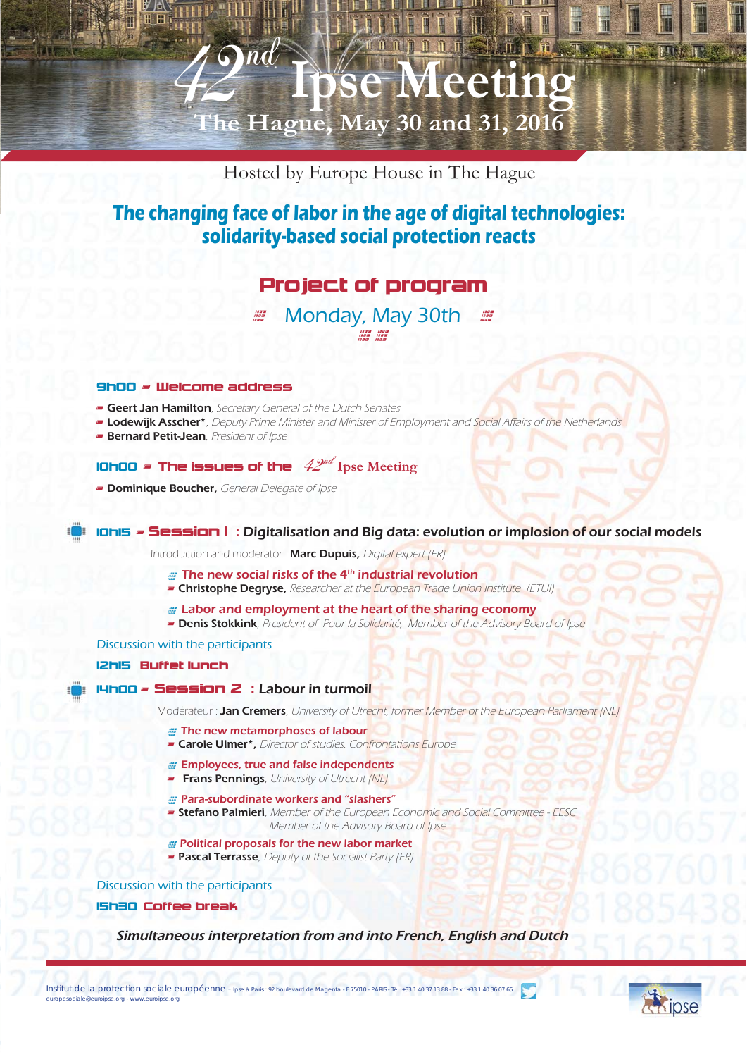# Hosted by Europe House in The Hague

 **Ipse Meeting The Hague, May 30 and 31, 2016** 

# **The changing face of labor in the age of digital technologies: solidarity-based social protection reacts**

# Project of program

Monday, May 30th ## < <

#### 9h00 - Welcome address

**Geert Jan Hamilton**, Secretary General of the Dutch Senates

 $42^{nd}$ 

- Lodewijk Asscher\*, Deputy Prime Minister and Minister of Employment and Social Affairs of the Netherlands
- **Bernard Petit-Jean**, President of Ipse

# **10h00 - The issues of the**  $42^{nd}$  Ipse Meeting

**- Dominique Boucher,** General Delegate of Ipse

## 10h15 - Session 1 : Digitalisation and Big data: evolution or implosion of our social models

Introduction and moderator : Marc Dupuis, Digital expert (FR)

- **EXECUTE:** The new social risks of the 4<sup>th</sup> industrial revolution
- **Christophe Degryse,** Researcher at the European Trade Union Institute (ETUI)
- <sup>&</sup>lt; Labor and employment at the heart of the sharing economy
- **Denis Stokkink**, President of Pour la Solidarité, Member of the Advisory Board of Ipse

#### Discussion with the participants

### 12h15 Buffet lunch

## 14h00 - Session 2 : Labour in turmoil

Modérateur : Jan Cremers, University of Utrecht, former Member of the European Parliament (NL)

- **The new metamorphoses of labour**
- **Carole Ulmer\*,** Director of studies, Confrontations Europe
- **Employees, true and false independents**
- **Frans Pennings**, University of Utrecht (NL)
- # Para-subordinate workers and "slashers"
- **Stefano Palmieri**, Member of the European Economic and Social Committee EESC Member of the Advisory Board of Ipse
- **Political proposals for the new labor market**
- **Pascal Terrasse**, Deputy of the Socialist Party (FR)

## Discussion with the participants

15h30 Coffee break

Simultaneous interpretation from and into French, English and Dutch

Institut de la protection sociale européenne - Ipse à Paris : 92 boulevard de Magenta - F 75010 - PARIS - Tél. +33 1 40 37 13 88 - Fax : +33 1 40 36 07 65 europesociale@euroipse.org - www.euroipse.org